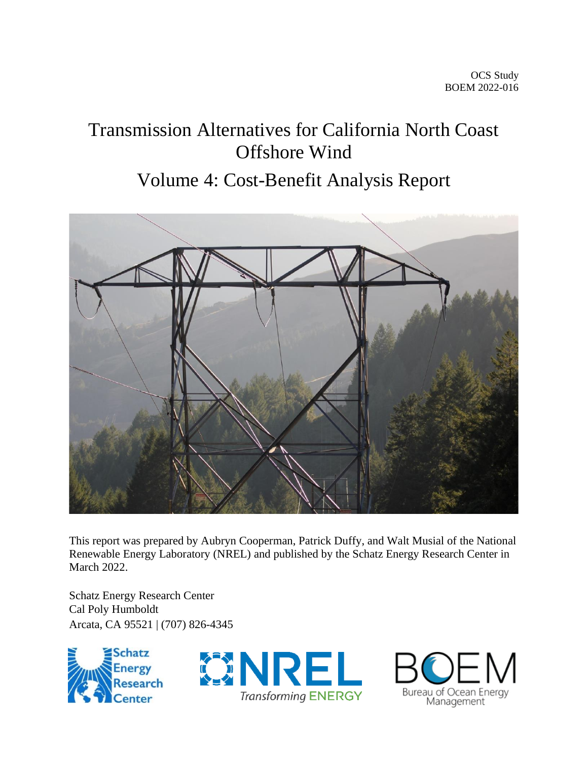# Transmission Alternatives for California North Coast Offshore Wind

# Volume 4: Cost-Benefit Analysis Report



This report was prepared by Aubryn Cooperman, Patrick Duffy, and Walt Musial of the National Renewable Energy Laboratory (NREL) and published by the Schatz Energy Research Center in March 2022.

Schatz Energy Research Center Cal Poly Humboldt Arcata, CA 95521 | (707) 826-4345





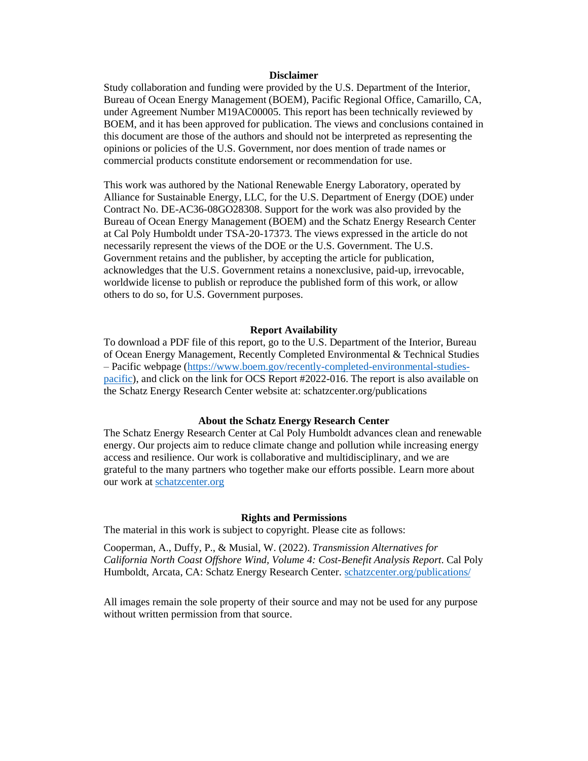#### **Disclaimer**

Study collaboration and funding were provided by the U.S. Department of the Interior, Bureau of Ocean Energy Management (BOEM), Pacific Regional Office, Camarillo, CA, under Agreement Number M19AC00005. This report has been technically reviewed by BOEM, and it has been approved for publication. The views and conclusions contained in this document are those of the authors and should not be interpreted as representing the opinions or policies of the U.S. Government, nor does mention of trade names or commercial products constitute endorsement or recommendation for use.

This work was authored by the National Renewable Energy Laboratory, operated by Alliance for Sustainable Energy, LLC, for the U.S. Department of Energy (DOE) under Contract No. DE-AC36-08GO28308. Support for the work was also provided by the Bureau of Ocean Energy Management (BOEM) and the Schatz Energy Research Center at Cal Poly Humboldt under TSA-20-17373. The views expressed in the article do not necessarily represent the views of the DOE or the U.S. Government. The U.S. Government retains and the publisher, by accepting the article for publication, acknowledges that the U.S. Government retains a nonexclusive, paid-up, irrevocable, worldwide license to publish or reproduce the published form of this work, or allow others to do so, for U.S. Government purposes.

#### **Report Availability**

To download a PDF file of this report, go to the U.S. Department of the Interior, Bureau of Ocean Energy Management, Recently Completed Environmental & Technical Studies – Pacific webpage [\(https://www.boem.gov/recently-completed-environmental-studies](https://www.boem.gov/recently-completed-environmental-studies-pacific)[pacific\)](https://www.boem.gov/recently-completed-environmental-studies-pacific), and click on the link for OCS Report #2022-016. The report is also available on the Schatz Energy Research Center website at: schatzcenter.org/publications

#### **About the Schatz Energy Research Center**

The Schatz Energy Research Center at Cal Poly Humboldt advances clean and renewable energy. Our projects aim to reduce climate change and pollution while increasing energy access and resilience. Our work is collaborative and multidisciplinary, and we are grateful to the many partners who together make our efforts possible. Learn more about our work at [schatzcenter.org](http://schatzcenter.org/)

#### **Rights and Permissions**

The material in this work is subject to copyright. Please cite as follows:

Cooperman, A., Duffy, P., & Musial, W. (2022). *Transmission Alternatives for California North Coast Offshore Wind, Volume 4: Cost-Benefit Analysis Report*. Cal Poly Humboldt, Arcata, CA: Schatz Energy Research Center. [schatzcenter.org/publications/](http://schatzcenter.org/publications)

All images remain the sole property of their source and may not be used for any purpose without written permission from that source.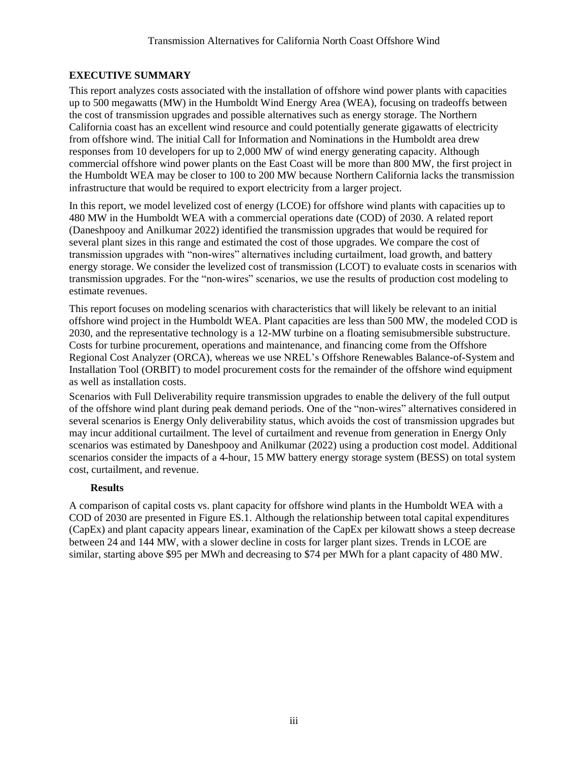# <span id="page-2-0"></span>**EXECUTIVE SUMMARY**

This report analyzes costs associated with the installation of offshore wind power plants with capacities up to 500 megawatts (MW) in the Humboldt Wind Energy Area (WEA), focusing on tradeoffs between the cost of transmission upgrades and possible alternatives such as energy storage. The Northern California coast has an excellent wind resource and could potentially generate gigawatts of electricity from offshore wind. The initial Call for Information and Nominations in the Humboldt area drew responses from 10 developers for up to 2,000 MW of wind energy generating capacity. Although commercial offshore wind power plants on the East Coast will be more than 800 MW, the first project in the Humboldt WEA may be closer to 100 to 200 MW because Northern California lacks the transmission infrastructure that would be required to export electricity from a larger project.

In this report, we model levelized cost of energy (LCOE) for offshore wind plants with capacities up to 480 MW in the Humboldt WEA with a commercial operations date (COD) of 2030. A related report (Daneshpooy and Anilkumar 2022) identified the transmission upgrades that would be required for several plant sizes in this range and estimated the cost of those upgrades. We compare the cost of transmission upgrades with "non-wires" alternatives including curtailment, load growth, and battery energy storage. We consider the levelized cost of transmission (LCOT) to evaluate costs in scenarios with transmission upgrades. For the "non-wires" scenarios, we use the results of production cost modeling to estimate revenues.

This report focuses on modeling scenarios with characteristics that will likely be relevant to an initial offshore wind project in the Humboldt WEA. Plant capacities are less than 500 MW, the modeled COD is 2030, and the representative technology is a 12-MW turbine on a floating semisubmersible substructure. Costs for turbine procurement, operations and maintenance, and financing come from the Offshore Regional Cost Analyzer (ORCA), whereas we use NREL's Offshore Renewables Balance-of-System and Installation Tool (ORBIT) to model procurement costs for the remainder of the offshore wind equipment as well as installation costs.

Scenarios with Full Deliverability require transmission upgrades to enable the delivery of the full output of the offshore wind plant during peak demand periods. One of the "non-wires" alternatives considered in several scenarios is Energy Only deliverability status, which avoids the cost of transmission upgrades but may incur additional curtailment. The level of curtailment and revenue from generation in Energy Only scenarios was estimated by Daneshpooy and Anilkumar (2022) using a production cost model. Additional scenarios consider the impacts of a 4-hour, 15 MW battery energy storage system (BESS) on total system cost, curtailment, and revenue.

# **Results**

A comparison of capital costs vs. plant capacity for offshore wind plants in the Humboldt WEA with a COD of 2030 are presented in Figure ES.1. Although the relationship between total capital expenditures (CapEx) and plant capacity appears linear, examination of the CapEx per kilowatt shows a steep decrease between 24 and 144 MW, with a slower decline in costs for larger plant sizes. Trends in LCOE are similar, starting above \$95 per MWh and decreasing to \$74 per MWh for a plant capacity of 480 MW.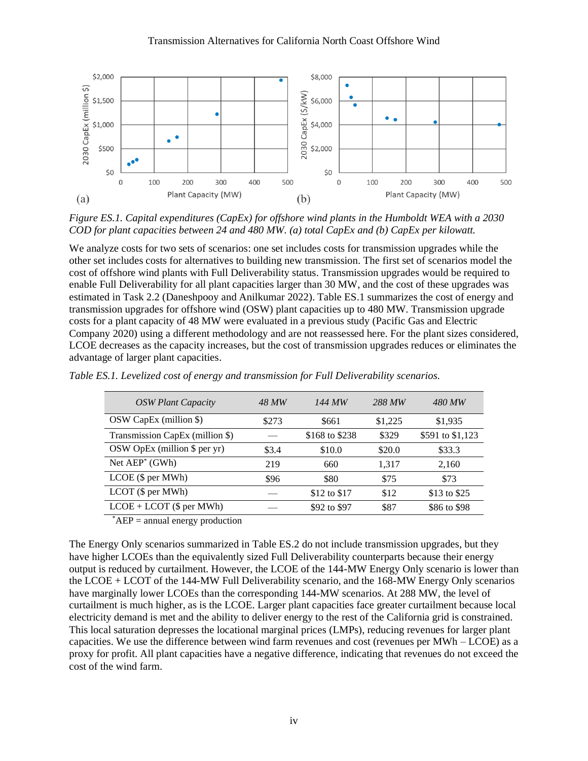

*Figure ES.1. Capital expenditures (CapEx) for offshore wind plants in the Humboldt WEA with a 2030 COD for plant capacities between 24 and 480 MW. (a) total CapEx and (b) CapEx per kilowatt.*

We analyze costs for two sets of scenarios: one set includes costs for transmission upgrades while the other set includes costs for alternatives to building new transmission. The first set of scenarios model the cost of offshore wind plants with Full Deliverability status. Transmission upgrades would be required to enable Full Deliverability for all plant capacities larger than 30 MW, and the cost of these upgrades was estimated in Task 2.2 (Daneshpooy and Anilkumar 2022). Table ES.1 summarizes the cost of energy and transmission upgrades for offshore wind (OSW) plant capacities up to 480 MW. Transmission upgrade costs for a plant capacity of 48 MW were evaluated in a previous study (Pacific Gas and Electric Company 2020) using a different methodology and are not reassessed here. For the plant sizes considered, LCOE decreases as the capacity increases, but the cost of transmission upgrades reduces or eliminates the advantage of larger plant capacities.

| <b>OSW Plant Capacity</b>       | 48 MW | 144 MW         | 288 MW  | 480 MW           |
|---------------------------------|-------|----------------|---------|------------------|
| OSW CapEx (million \$)          | \$273 | \$661          | \$1,225 | \$1,935          |
| Transmission CapEx (million \$) |       | \$168 to \$238 | \$329   | \$591 to \$1,123 |
| OSW OpEx (million $$$ per yr)   | \$3.4 | \$10.0         | \$20.0  | \$33.3           |
| Net $AEP^*(GWh)$                | 219   | 660            | 1,317   | 2,160            |
| LCOE (\$ per MWh)               | \$96  | \$80           | \$75    | \$73             |
| $LCOT$ (\$ per MWh)             |       | \$12 to \$17   | \$12    | \$13 to \$25     |
| $LCOE + LCOT$ (\$ per MWh)      |       | \$92 to \$97   | \$87    | \$86 to \$98     |

*Table ES.1. Levelized cost of energy and transmission for Full Deliverability scenarios.*

 $AEP =$  annual energy production

The Energy Only scenarios summarized in Table ES.2 do not include transmission upgrades, but they have higher LCOEs than the equivalently sized Full Deliverability counterparts because their energy output is reduced by curtailment. However, the LCOE of the 144-MW Energy Only scenario is lower than the LCOE + LCOT of the 144-MW Full Deliverability scenario, and the 168-MW Energy Only scenarios have marginally lower LCOEs than the corresponding 144-MW scenarios. At 288 MW, the level of curtailment is much higher, as is the LCOE. Larger plant capacities face greater curtailment because local electricity demand is met and the ability to deliver energy to the rest of the California grid is constrained. This local saturation depresses the locational marginal prices (LMPs), reducing revenues for larger plant capacities. We use the difference between wind farm revenues and cost (revenues per MWh – LCOE) as a proxy for profit. All plant capacities have a negative difference, indicating that revenues do not exceed the cost of the wind farm.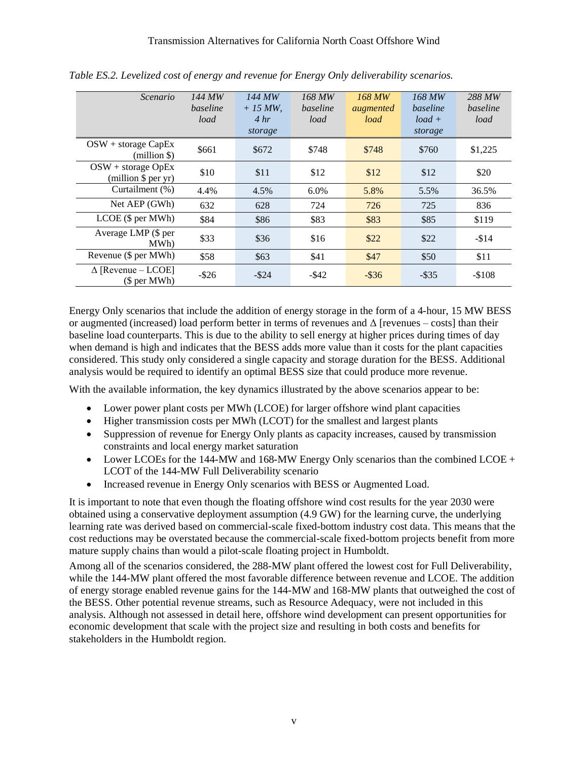| Scenario                                               | 144 MW<br>baseline<br>load | 144 MW<br>$+15$ MW,<br>4 hr<br>storage | 168 MW<br>baseline<br>load | 168 MW<br>augmented<br>load | 168 MW<br>baseline<br>$load +$<br>storage | 288 MW<br>baseline<br>load |
|--------------------------------------------------------|----------------------------|----------------------------------------|----------------------------|-----------------------------|-------------------------------------------|----------------------------|
| $OSW + storage CapEx$<br>(million \$)                  | \$661                      | \$672                                  | \$748                      | \$748                       | \$760                                     | \$1,225                    |
| $OSW + storage OpEx$<br>(million $\frac{1}{2}$ per yr) | \$10                       | \$11                                   | \$12                       | \$12                        | \$12                                      | \$20                       |
| Curtailment (%)                                        | 4.4%                       | 4.5%                                   | 6.0%                       | 5.8%                        | 5.5%                                      | 36.5%                      |
| Net AEP (GWh)                                          | 632                        | 628                                    | 724                        | 726                         | 725                                       | 836                        |
| LCOE (\$ per MWh)                                      | \$84                       | \$86                                   | \$83                       | \$83                        | \$85                                      | \$119                      |
| Average LMP (\$ per<br>MWh)                            | \$33                       | \$36                                   | \$16                       | \$22                        | \$22                                      | $-$14$                     |
| Revenue (\$ per MWh)                                   | \$58                       | \$63                                   | \$41                       | \$47                        | \$50                                      | \$11                       |
| $\Delta$ [Revenue – LCOE]<br>(\$ per MWh)              | $-$ \$26                   | $-$ \$24                               | $-$ \$42                   | $-$ \$36                    | $-$ \$35                                  | $-$108$                    |

*Table ES.2. Levelized cost of energy and revenue for Energy Only deliverability scenarios.*

Energy Only scenarios that include the addition of energy storage in the form of a 4-hour, 15 MW BESS or augmented (increased) load perform better in terms of revenues and  $\Delta$  [revenues – costs] than their baseline load counterparts. This is due to the ability to sell energy at higher prices during times of day when demand is high and indicates that the BESS adds more value than it costs for the plant capacities considered. This study only considered a single capacity and storage duration for the BESS. Additional analysis would be required to identify an optimal BESS size that could produce more revenue.

With the available information, the key dynamics illustrated by the above scenarios appear to be:

- Lower power plant costs per MWh (LCOE) for larger offshore wind plant capacities
- Higher transmission costs per MWh (LCOT) for the smallest and largest plants
- Suppression of revenue for Energy Only plants as capacity increases, caused by transmission constraints and local energy market saturation
- Lower LCOEs for the 144-MW and 168-MW Energy Only scenarios than the combined LCOE + LCOT of the 144-MW Full Deliverability scenario
- Increased revenue in Energy Only scenarios with BESS or Augmented Load.

It is important to note that even though the floating offshore wind cost results for the year 2030 were obtained using a conservative deployment assumption (4.9 GW) for the learning curve, the underlying learning rate was derived based on commercial-scale fixed-bottom industry cost data. This means that the cost reductions may be overstated because the commercial-scale fixed-bottom projects benefit from more mature supply chains than would a pilot-scale floating project in Humboldt.

Among all of the scenarios considered, the 288-MW plant offered the lowest cost for Full Deliverability, while the 144-MW plant offered the most favorable difference between revenue and LCOE. The addition of energy storage enabled revenue gains for the 144-MW and 168-MW plants that outweighed the cost of the BESS. Other potential revenue streams, such as Resource Adequacy, were not included in this analysis. Although not assessed in detail here, offshore wind development can present opportunities for economic development that scale with the project size and resulting in both costs and benefits for stakeholders in the Humboldt region.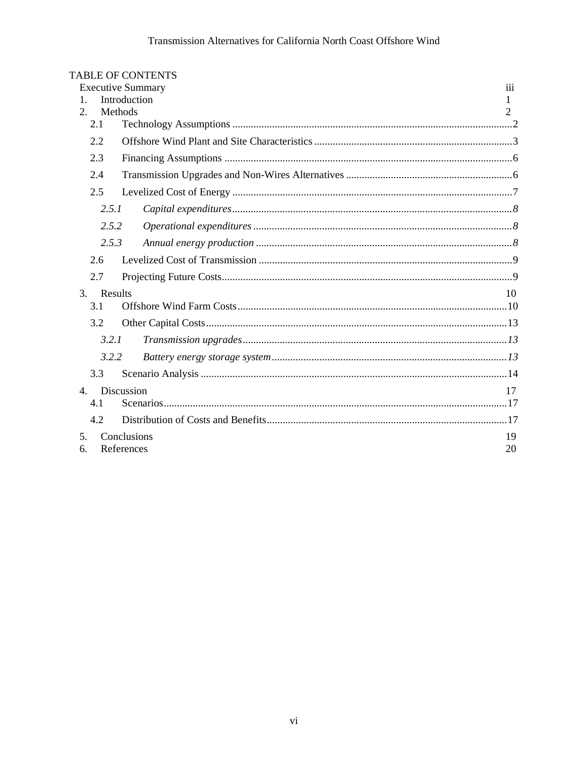|                | <b>TABLE OF CONTENTS</b> |     |
|----------------|--------------------------|-----|
|                | <b>Executive Summary</b> | 111 |
| $\mathbf{1}$ . | Introduction             | 1   |
| 2.             | Methods                  | 2   |
| 2.1            |                          |     |
| 2.2            |                          |     |
| 2.3            |                          |     |
| 2.4            |                          |     |
| 2.5            |                          |     |
|                | 2.5.1                    |     |
|                | 2.5.2                    |     |
|                | 2.5.3                    |     |
| 2.6            |                          |     |
| 2.7            |                          |     |
| 3.             | Results                  | 10  |
| 3.1            |                          |     |
| 3.2            |                          |     |
|                | 3.2.1                    |     |
|                | 3.2.2                    |     |
| 3.3            |                          |     |
| $\mathbf{4}$ . | Discussion               | 17  |
| 4.1            |                          |     |
| 4.2            |                          |     |
| $\mathcal{F}$  | Conclusions              | 19  |
| 6.             | References               | 20  |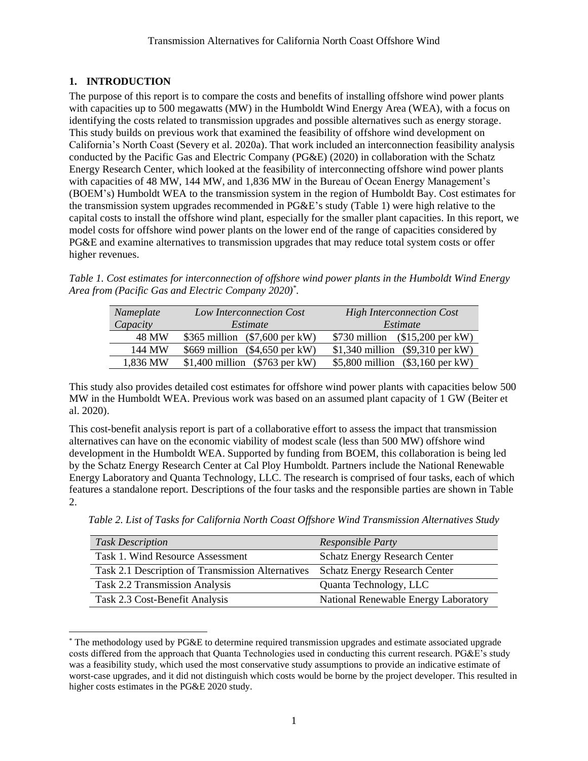# <span id="page-6-0"></span>**1. INTRODUCTION**

The purpose of this report is to compare the costs and benefits of installing offshore wind power plants with capacities up to 500 megawatts (MW) in the Humboldt Wind Energy Area (WEA), with a focus on identifying the costs related to transmission upgrades and possible alternatives such as energy storage. This study builds on previous work that examined the feasibility of offshore wind development on California's North Coast (Severy et al. 2020a). That work included an interconnection feasibility analysis conducted by the Pacific Gas and Electric Company (PG&E) (2020) in collaboration with the Schatz Energy Research Center, which looked at the feasibility of interconnecting offshore wind power plants with capacities of 48 MW, 144 MW, and 1,836 MW in the Bureau of Ocean Energy Management's (BOEM's) Humboldt WEA to the transmission system in the region of Humboldt Bay. Cost estimates for the transmission system upgrades recommended in PG&E's study [\(Table 1\)](#page-6-1) were high relative to the capital costs to install the offshore wind plant, especially for the smaller plant capacities. In this report, we model costs for offshore wind power plants on the lower end of the range of capacities considered by PG&E and examine alternatives to transmission upgrades that may reduce total system costs or offer higher revenues.

<span id="page-6-1"></span>*Table 1. Cost estimates for interconnection of offshore wind power plants in the Humboldt Wind Energy Area from (Pacific Gas and Electric Company 2020)\* .*

| Nameplate | Low Interconnection Cost         | <b>High Interconnection Cost</b>   |
|-----------|----------------------------------|------------------------------------|
| Capacity  | Estimate                         | Estimate                           |
| 48 MW     | \$365 million $(\$7,600$ per kW) | \$730 million $($15,200$ per kW)   |
| 144 MW    | \$669 million $(\$4,650$ per kW) | \$1,340 million $(\$9,310$ per kW) |
| 1,836 MW  | \$1,400 million $(\$763$ per kW) | \$5,800 million $(\$3,160$ per kW) |

This study also provides detailed cost estimates for offshore wind power plants with capacities below 500 MW in the Humboldt WEA. Previous work was based on an assumed plant capacity of 1 GW (Beiter et al. 2020).

This cost-benefit analysis report is part of a collaborative effort to assess the impact that transmission alternatives can have on the economic viability of modest scale (less than 500 MW) offshore wind development in the Humboldt WEA. Supported by funding from BOEM, this collaboration is being led by the Schatz Energy Research Center at Cal Ploy Humboldt. Partners include the National Renewable Energy Laboratory and Quanta Technology, LLC. The research is comprised of four tasks, each of which features a standalone report. Descriptions of the four tasks and the responsible parties are shown in Table 2.

| <b>Task Description</b>                           | Responsible Party                    |
|---------------------------------------------------|--------------------------------------|
| Task 1. Wind Resource Assessment                  | <b>Schatz Energy Research Center</b> |
| Task 2.1 Description of Transmission Alternatives | <b>Schatz Energy Research Center</b> |
| <b>Task 2.2 Transmission Analysis</b>             | Quanta Technology, LLC               |
| Task 2.3 Cost-Benefit Analysis                    | National Renewable Energy Laboratory |

*Table 2. List of Tasks for California North Coast Offshore Wind Transmission Alternatives Study*

<sup>\*</sup> The methodology used by PG&E to determine required transmission upgrades and estimate associated upgrade costs differed from the approach that Quanta Technologies used in conducting this current research. PG&E's study was a feasibility study, which used the most conservative study assumptions to provide an indicative estimate of worst-case upgrades, and it did not distinguish which costs would be borne by the project developer. This resulted in higher costs estimates in the PG&E 2020 study.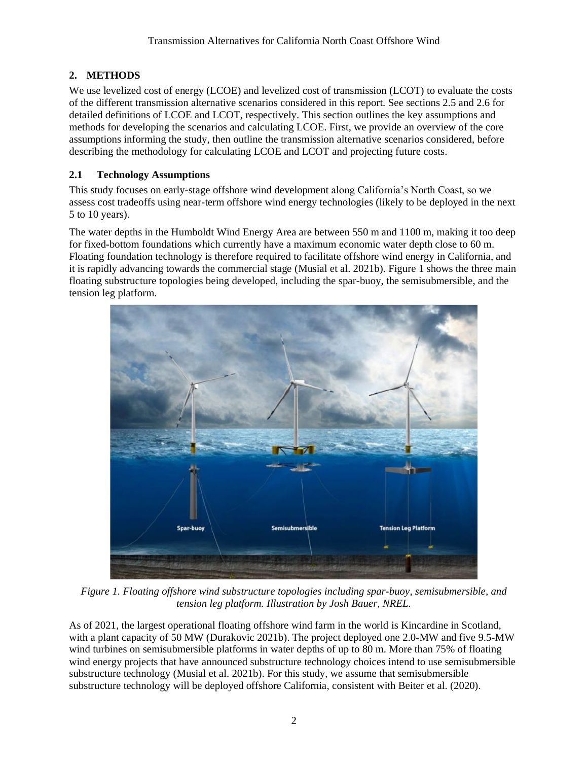# <span id="page-7-0"></span>**2. METHODS**

We use levelized cost of energy (LCOE) and levelized cost of transmission (LCOT) to evaluate the costs of the different transmission alternative scenarios considered in this report. See sections 2.5 and 2.6 for detailed definitions of LCOE and LCOT, respectively. This section outlines the key assumptions and methods for developing the scenarios and calculating LCOE. First, we provide an overview of the core assumptions informing the study, then outline the transmission alternative scenarios considered, before describing the methodology for calculating LCOE and LCOT and projecting future costs.

# <span id="page-7-1"></span>**2.1 Technology Assumptions**

This study focuses on early-stage offshore wind development along California's North Coast, so we assess cost tradeoffs using near-term offshore wind energy technologies (likely to be deployed in the next 5 to 10 years).

The water depths in the Humboldt Wind Energy Area are between 550 m and 1100 m, making it too deep for fixed-bottom foundations which currently have a maximum economic water depth close to 60 m. Floating foundation technology is therefore required to facilitate offshore wind energy in California, and it is rapidly advancing towards the commercial stage (Musial et al. 2021b). [Figure 1](#page-7-2) shows the three main floating substructure topologies being developed, including the spar-buoy, the semisubmersible, and the tension leg platform.



*Figure 1. Floating offshore wind substructure topologies including spar-buoy, semisubmersible, and tension leg platform. Illustration by Josh Bauer, NREL.*

<span id="page-7-2"></span>As of 2021, the largest operational floating offshore wind farm in the world is Kincardine in Scotland, with a plant capacity of 50 MW (Durakovic 2021b). The project deployed one 2.0-MW and five 9.5-MW wind turbines on semisubmersible platforms in water depths of up to 80 m. More than 75% of floating wind energy projects that have announced substructure technology choices intend to use semisubmersible substructure technology (Musial et al. 2021b). For this study, we assume that semisubmersible substructure technology will be deployed offshore California, consistent with Beiter et al. (2020).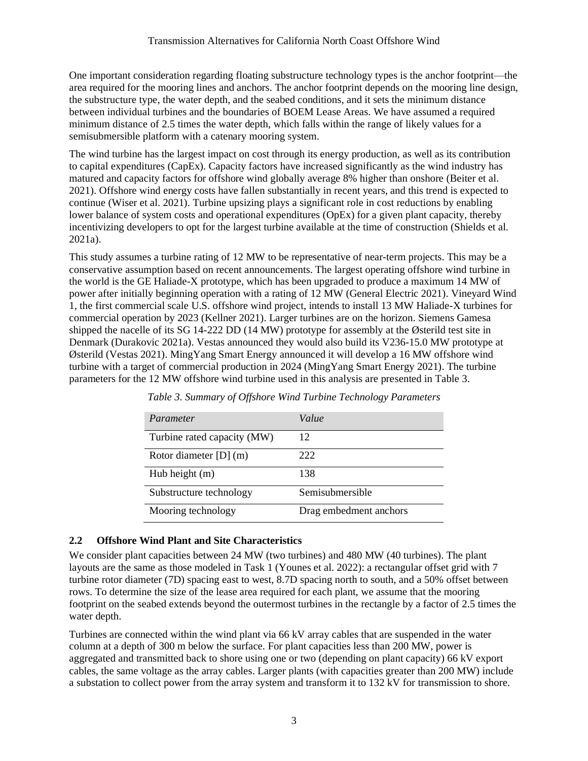One important consideration regarding floating substructure technology types is the anchor footprint—the area required for the mooring lines and anchors. The anchor footprint depends on the mooring line design, the substructure type, the water depth, and the seabed conditions, and it sets the minimum distance between individual turbines and the boundaries of BOEM Lease Areas. We have assumed a required minimum distance of 2.5 times the water depth, which falls within the range of likely values for a semisubmersible platform with a catenary mooring system.

The wind turbine has the largest impact on cost through its energy production, as well as its contribution to capital expenditures (CapEx). Capacity factors have increased significantly as the wind industry has matured and capacity factors for offshore wind globally average 8% higher than onshore (Beiter et al. 2021). Offshore wind energy costs have fallen substantially in recent years, and this trend is expected to continue (Wiser et al. 2021). Turbine upsizing plays a significant role in cost reductions by enabling lower balance of system costs and operational expenditures (OpEx) for a given plant capacity, thereby incentivizing developers to opt for the largest turbine available at the time of construction (Shields et al. 2021a).

This study assumes a turbine rating of 12 MW to be representative of near-term projects. This may be a conservative assumption based on recent announcements. The largest operating offshore wind turbine in the world is the GE Haliade-X prototype, which has been upgraded to produce a maximum 14 MW of power after initially beginning operation with a rating of 12 MW (General Electric 2021). Vineyard Wind 1, the first commercial scale U.S. offshore wind project, intends to install 13 MW Haliade-X turbines for commercial operation by 2023 (Kellner 2021). Larger turbines are on the horizon. Siemens Gamesa shipped the nacelle of its SG 14-222 DD (14 MW) prototype for assembly at the Østerild test site in Denmark (Durakovic 2021a). Vestas announced they would also build its V236-15.0 MW prototype at Østerild (Vestas 2021). MingYang Smart Energy announced it will develop a 16 MW offshore wind turbine with a target of commercial production in 2024 (MingYang Smart Energy 2021). The turbine parameters for the 12 MW offshore wind turbine used in this analysis are presented in [Table 3.](#page-8-1)

<span id="page-8-1"></span>

| Parameter                   | Value                  |
|-----------------------------|------------------------|
| Turbine rated capacity (MW) | 12                     |
| Rotor diameter $[D]$ (m)    | 222                    |
| Hub height $(m)$            | 138                    |
| Substructure technology     | Semisubmersible        |
| Mooring technology          | Drag embedment anchors |

*Table 3. Summary of Offshore Wind Turbine Technology Parameters*

# <span id="page-8-0"></span>**2.2 Offshore Wind Plant and Site Characteristics**

We consider plant capacities between 24 MW (two turbines) and 480 MW (40 turbines). The plant layouts are the same as those modeled in Task 1 (Younes et al. 2022): a rectangular offset grid with 7 turbine rotor diameter (7D) spacing east to west, 8.7D spacing north to south, and a 50% offset between rows. To determine the size of the lease area required for each plant, we assume that the mooring footprint on the seabed extends beyond the outermost turbines in the rectangle by a factor of 2.5 times the water depth.

Turbines are connected within the wind plant via 66 kV array cables that are suspended in the water column at a depth of 300 m below the surface. For plant capacities less than 200 MW, power is aggregated and transmitted back to shore using one or two (depending on plant capacity) 66 kV export cables, the same voltage as the array cables. Larger plants (with capacities greater than 200 MW) include a substation to collect power from the array system and transform it to 132 kV for transmission to shore.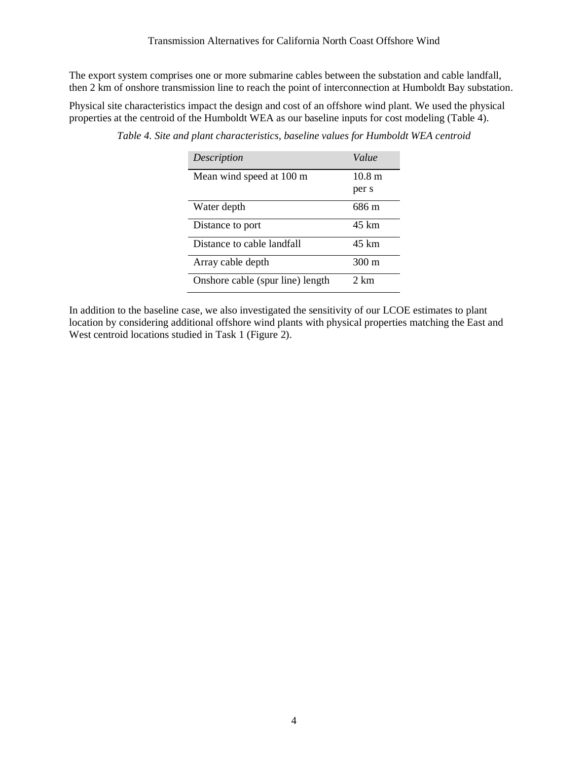The export system comprises one or more submarine cables between the substation and cable landfall, then 2 km of onshore transmission line to reach the point of interconnection at Humboldt Bay substation.

<span id="page-9-0"></span>Physical site characteristics impact the design and cost of an offshore wind plant. We used the physical properties at the centroid of the Humboldt WEA as our baseline inputs for cost modeling [\(Table 4\)](#page-9-0).

| Description                      | Value  |
|----------------------------------|--------|
| Mean wind speed at 100 m         | 10.8 m |
|                                  | per s  |
| Water depth                      | 686 m  |
| Distance to port                 | 45 km  |
| Distance to cable landfall       | 45 km  |
| Array cable depth                | 300 m  |
| Onshore cable (spur line) length | 2 km   |

*Table 4. Site and plant characteristics, baseline values for Humboldt WEA centroid*

In addition to the baseline case, we also investigated the sensitivity of our LCOE estimates to plant location by considering additional offshore wind plants with physical properties matching the East and West centroid locations studied in Task 1 [\(Figure 2\)](#page-10-0).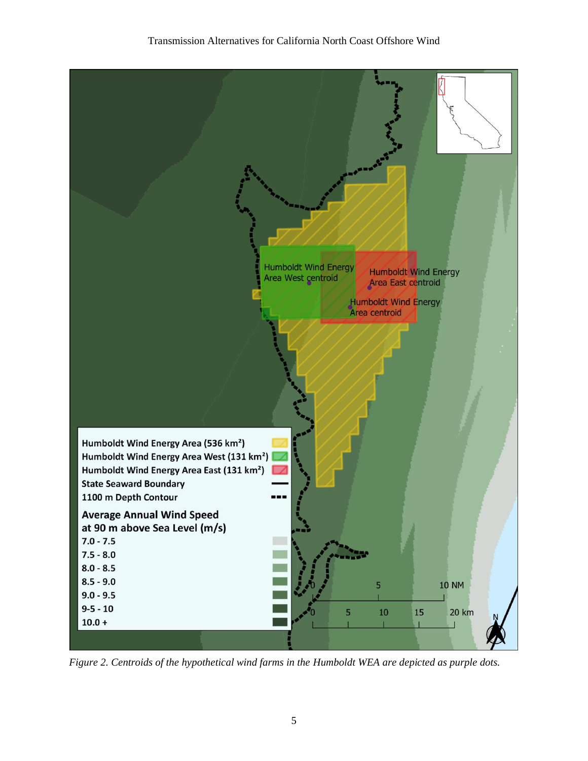### Transmission Alternatives for California North Coast Offshore Wind



<span id="page-10-0"></span>*Figure 2. Centroids of the hypothetical wind farms in the Humboldt WEA are depicted as purple dots.*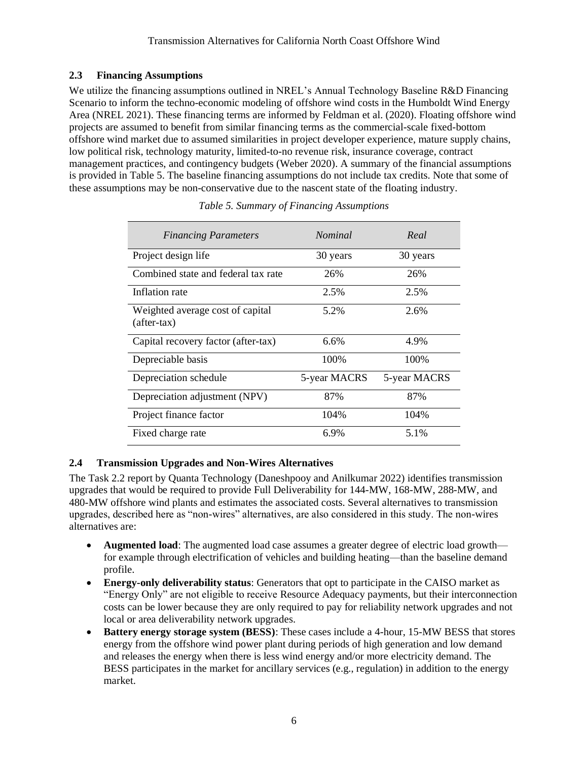# <span id="page-11-0"></span>**2.3 Financing Assumptions**

We utilize the financing assumptions outlined in NREL's Annual Technology Baseline R&D Financing Scenario to inform the techno-economic modeling of offshore wind costs in the Humboldt Wind Energy Area (NREL 2021). These financing terms are informed by Feldman et al. (2020). Floating offshore wind projects are assumed to benefit from similar financing terms as the commercial-scale fixed-bottom offshore wind market due to assumed similarities in project developer experience, mature supply chains, low political risk, technology maturity, limited-to-no revenue risk, insurance coverage, contract management practices, and contingency budgets (Weber 2020). A summary of the financial assumptions is provided in [Table 5.](#page-11-2) The baseline financing assumptions do not include tax credits. Note that some of these assumptions may be non-conservative due to the nascent state of the floating industry.

<span id="page-11-2"></span>

| <b>Financing Parameters</b>                       | <i>Nominal</i> | Real         |
|---------------------------------------------------|----------------|--------------|
| Project design life                               | 30 years       | 30 years     |
| Combined state and federal tax rate               | 26%            | 26%          |
| Inflation rate                                    | 2.5%           | 2.5%         |
| Weighted average cost of capital<br>$(after-tax)$ | 5.2%           | 2.6%         |
| Capital recovery factor (after-tax)               | 6.6%           | 4.9%         |
| Depreciable basis                                 | 100%           | 100\%        |
| Depreciation schedule                             | 5-year MACRS   | 5-year MACRS |
| Depreciation adjustment (NPV)                     | 87%            | 87%          |
| Project finance factor                            | 104%           | 104%         |
| Fixed charge rate                                 | 6.9%           | 5.1%         |

*Table 5. Summary of Financing Assumptions*

# <span id="page-11-1"></span>**2.4 Transmission Upgrades and Non-Wires Alternatives**

The Task 2.2 report by Quanta Technology (Daneshpooy and Anilkumar 2022) identifies transmission upgrades that would be required to provide Full Deliverability for 144-MW, 168-MW, 288-MW, and 480-MW offshore wind plants and estimates the associated costs. Several alternatives to transmission upgrades, described here as "non-wires" alternatives, are also considered in this study. The non-wires alternatives are:

- **Augmented load**: The augmented load case assumes a greater degree of electric load growth for example through electrification of vehicles and building heating—than the baseline demand profile.
- **Energy-only deliverability status**: Generators that opt to participate in the CAISO market as "Energy Only" are not eligible to receive Resource Adequacy payments, but their interconnection costs can be lower because they are only required to pay for reliability network upgrades and not local or area deliverability network upgrades.
- **Battery energy storage system (BESS)**: These cases include a 4-hour, 15-MW BESS that stores energy from the offshore wind power plant during periods of high generation and low demand and releases the energy when there is less wind energy and/or more electricity demand. The BESS participates in the market for ancillary services (e.g., regulation) in addition to the energy market.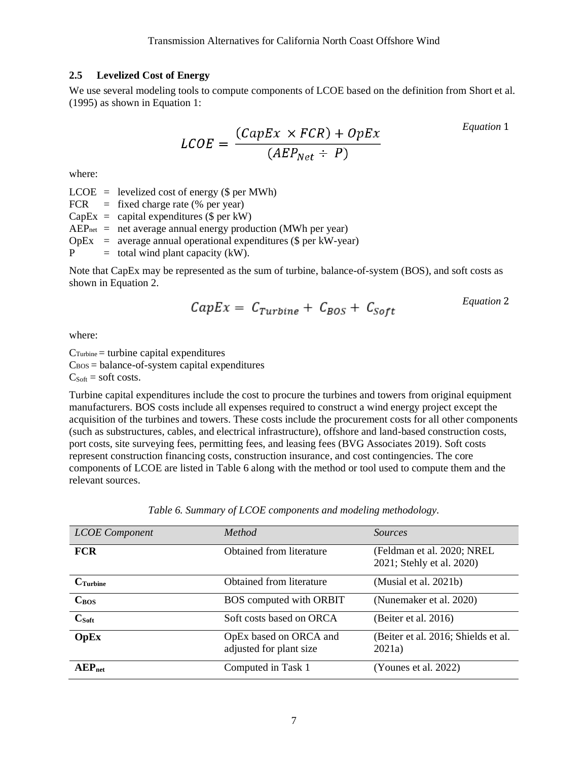#### <span id="page-12-0"></span>**2.5 Levelized Cost of Energy**

We use several modeling tools to compute components of LCOE based on the definition from Short et al. (1995) as shown in Equation 1:

$$
LCOE = \frac{(CapEx \times FCR) + OpEx}{(AEP_{Net} \div P)}
$$
 *Equation 1*

where:

 $LCOE =$  levelized cost of energy (\$ per MWh)

FCR  $=$  fixed charge rate (% per year)

 $CapEx = capital$  expenditures (\$ per kW)

 $AEP<sub>net</sub>$  = net average annual energy production (MWh per year)

 $OpEx = average annual operational expenditures (§ per kW-year)$ 

 $P =$  total wind plant capacity (kW).

Note that CapEx may be represented as the sum of turbine, balance-of-system (BOS), and soft costs as shown in Equation 2.

$$
CapEx = C_{Turbine} + C_{BOS} + C_{Soft}
$$
 *Equation 2*

where:

 $C$ Turbine = turbine capital expenditures  $C<sub>BOS</sub> = balance-of-system capital expenditures$  $C_{Soft}$  = soft costs.

Turbine capital expenditures include the cost to procure the turbines and towers from original equipment manufacturers. BOS costs include all expenses required to construct a wind energy project except the acquisition of the turbines and towers. These costs include the procurement costs for all other components (such as substructures, cables, and electrical infrastructure), offshore and land-based construction costs, port costs, site surveying fees, permitting fees, and leasing fees (BVG Associates 2019). Soft costs represent construction financing costs, construction insurance, and cost contingencies. The core components of LCOE are listed in [Table 6](#page-12-1) along with the method or tool used to compute them and the relevant sources.

<span id="page-12-1"></span>

| <b>LCOE</b> Component | Method                                            | <i>Sources</i>                                          |
|-----------------------|---------------------------------------------------|---------------------------------------------------------|
| <b>FCR</b>            | Obtained from literature                          | (Feldman et al. 2020; NREL<br>2021; Stehly et al. 2020) |
| $C$ Turbine           | Obtained from literature                          | (Musial et al. 2021b)                                   |
| C <sub>ROS</sub>      | BOS computed with ORBIT                           | (Nunemaker et al. 2020)                                 |
| $C_{Soft}$            | Soft costs based on ORCA                          | (Beiter et al. 2016)                                    |
| <b>OpEx</b>           | OpEx based on ORCA and<br>adjusted for plant size | (Beiter et al. 2016; Shields et al.<br>2021a)           |
| AEP <sub>net</sub>    | Computed in Task 1                                | (Younes et al. 2022)                                    |

*Table 6. Summary of LCOE components and modeling methodology.*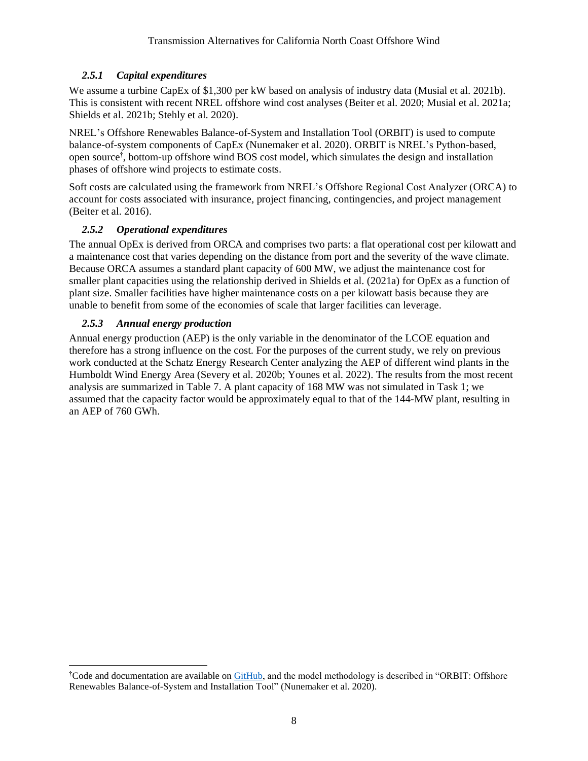# <span id="page-13-0"></span>*2.5.1 Capital expenditures*

We assume a turbine CapEx of \$1,300 per kW based on analysis of industry data (Musial et al. 2021b). This is consistent with recent NREL offshore wind cost analyses (Beiter et al. 2020; Musial et al. 2021a; Shields et al. 2021b; Stehly et al. 2020).

NREL's Offshore Renewables Balance-of-System and Installation Tool (ORBIT) is used to compute balance-of-system components of CapEx (Nunemaker et al. 2020). ORBIT is NREL's Python-based, open source† , bottom-up offshore wind BOS cost model, which simulates the design and installation phases of offshore wind projects to estimate costs.

Soft costs are calculated using the framework from NREL's Offshore Regional Cost Analyzer (ORCA) to account for costs associated with insurance, project financing, contingencies, and project management (Beiter et al. 2016).

# *2.5.2 Operational expenditures*

<span id="page-13-1"></span>The annual OpEx is derived from ORCA and comprises two parts: a flat operational cost per kilowatt and a maintenance cost that varies depending on the distance from port and the severity of the wave climate. Because ORCA assumes a standard plant capacity of 600 MW, we adjust the maintenance cost for smaller plant capacities using the relationship derived in Shields et al. (2021a) for OpEx as a function of plant size. Smaller facilities have higher maintenance costs on a per kilowatt basis because they are unable to benefit from some of the economies of scale that larger facilities can leverage.

# *2.5.3 Annual energy production*

<span id="page-13-2"></span>Annual energy production (AEP) is the only variable in the denominator of the LCOE equation and therefore has a strong influence on the cost. For the purposes of the current study, we rely on previous work conducted at the Schatz Energy Research Center analyzing the AEP of different wind plants in the Humboldt Wind Energy Area (Severy et al. 2020b; Younes et al. 2022). The results from the most recent analysis are summarized in [Table 7.](#page-14-2) A plant capacity of 168 MW was not simulated in Task 1; we assumed that the capacity factor would be approximately equal to that of the 144-MW plant, resulting in an AEP of 760 GWh.

<sup>&</sup>lt;sup>†</sup>Code and documentation are available o[n GitHub,](https://github.com/WISDEM/ORBIT) and the model methodology is described in "ORBIT: Offshore Renewables Balance-of-System and Installation Tool" (Nunemaker et al. 2020).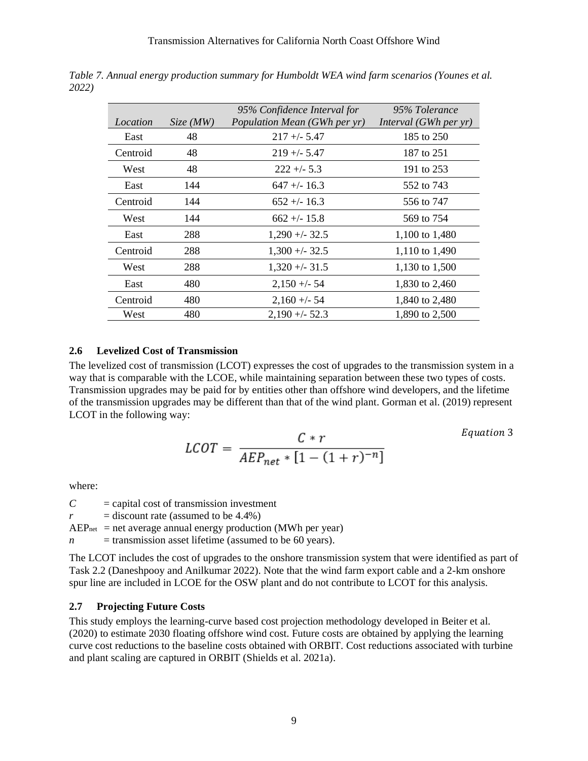| Location | Size(MW) | 95% Confidence Interval for<br>Population Mean (GWh per yr) | 95% Tolerance<br>Interval (GWh per yr) |
|----------|----------|-------------------------------------------------------------|----------------------------------------|
| East     | 48       | $217 + -5.47$                                               | 185 to 250                             |
| Centroid | 48       | $219 + -5.47$                                               | 187 to 251                             |
| West     | 48       | $222 + 5.3$                                                 | 191 to 253                             |
| East     | 144      | $647 + (-16.3)$                                             | 552 to 743                             |
| Centroid | 144      | $652 + - 16.3$                                              | 556 to 747                             |
| West     | 144      | $662 + - 15.8$                                              | 569 to 754                             |
| East     | 288      | $1,290 + -32.5$                                             | 1,100 to 1,480                         |
| Centroid | 288      | $1,300 + -32.5$                                             | 1,110 to 1,490                         |
| West     | 288      | $1,320 + -31.5$                                             | 1,130 to 1,500                         |
| East     | 480      | $2,150 + -54$                                               | 1,830 to 2,460                         |
| Centroid | 480      | $2,160 + -54$                                               | 1,840 to 2,480                         |
| West     | 480      | $2.190 + -52.3$                                             | 1,890 to 2,500                         |

<span id="page-14-2"></span>*Table 7. Annual energy production summary for Humboldt WEA wind farm scenarios (Younes et al. 2022)*

# <span id="page-14-0"></span>**2.6 Levelized Cost of Transmission**

The levelized cost of transmission (LCOT) expresses the cost of upgrades to the transmission system in a way that is comparable with the LCOE, while maintaining separation between these two types of costs. Transmission upgrades may be paid for by entities other than offshore wind developers, and the lifetime of the transmission upgrades may be different than that of the wind plant. Gorman et al. (2019) represent LCOT in the following way:

$$
LCOT = \frac{C*r}{AEP_{net} * [1 - (1+r)^{-n}]}
$$

Equation 3

where:

 $C =$  capital cost of transmission investment

 $r =$  discount rate (assumed to be 4.4%)

 $AEP<sub>net</sub>$  = net average annual energy production (MWh per year)

 $n =$  transmission asset lifetime (assumed to be 60 years).

The LCOT includes the cost of upgrades to the onshore transmission system that were identified as part of Task 2.2 (Daneshpooy and Anilkumar 2022). Note that the wind farm export cable and a 2-km onshore spur line are included in LCOE for the OSW plant and do not contribute to LCOT for this analysis.

#### <span id="page-14-1"></span>**2.7 Projecting Future Costs**

This study employs the learning-curve based cost projection methodology developed in Beiter et al. (2020) to estimate 2030 floating offshore wind cost. Future costs are obtained by applying the learning curve cost reductions to the baseline costs obtained with ORBIT. Cost reductions associated with turbine and plant scaling are captured in ORBIT (Shields et al. 2021a).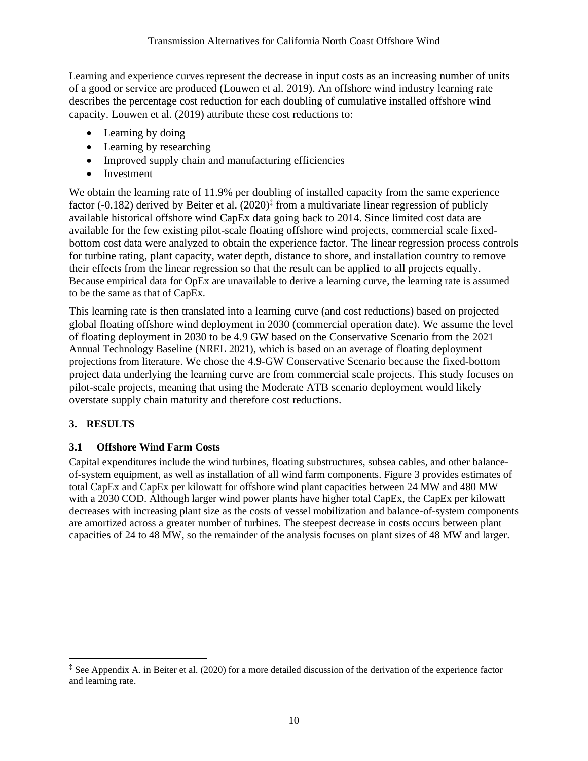Learning and experience curves represent the decrease in input costs as an increasing number of units of a good or service are produced (Louwen et al. 2019). An offshore wind industry learning rate describes the percentage cost reduction for each doubling of cumulative installed offshore wind capacity. Louwen et al. (2019) attribute these cost reductions to:

- Learning by doing
- Learning by researching
- Improved supply chain and manufacturing efficiencies
- Investment

We obtain the learning rate of 11.9% per doubling of installed capacity from the same experience factor (-0.182) derived by Beiter et al. (2020)<sup>‡</sup> from a multivariate linear regression of publicly available historical offshore wind CapEx data going back to 2014. Since limited cost data are available for the few existing pilot-scale floating offshore wind projects, commercial scale fixedbottom cost data were analyzed to obtain the experience factor. The linear regression process controls for turbine rating, plant capacity, water depth, distance to shore, and installation country to remove their effects from the linear regression so that the result can be applied to all projects equally. Because empirical data for OpEx are unavailable to derive a learning curve, the learning rate is assumed to be the same as that of CapEx.

This learning rate is then translated into a learning curve (and cost reductions) based on projected global floating offshore wind deployment in 2030 (commercial operation date). We assume the level of floating deployment in 2030 to be 4.9 GW based on the Conservative Scenario from the 2021 Annual Technology Baseline (NREL 2021), which is based on an average of floating deployment projections from literature. We chose the 4.9-GW Conservative Scenario because the fixed-bottom project data underlying the learning curve are from commercial scale projects. This study focuses on pilot-scale projects, meaning that using the Moderate ATB scenario deployment would likely overstate supply chain maturity and therefore cost reductions.

# <span id="page-15-0"></span>**3. RESULTS**

# <span id="page-15-1"></span>**3.1 Offshore Wind Farm Costs**

Capital expenditures include the wind turbines, floating substructures, subsea cables, and other balanceof-system equipment, as well as installation of all wind farm components. [Figure 3](#page-16-0) provides estimates of total CapEx and CapEx per kilowatt for offshore wind plant capacities between 24 MW and 480 MW with a 2030 COD. Although larger wind power plants have higher total CapEx, the CapEx per kilowatt decreases with increasing plant size as the costs of vessel mobilization and balance-of-system components are amortized across a greater number of turbines. The steepest decrease in costs occurs between plant capacities of 24 to 48 MW, so the remainder of the analysis focuses on plant sizes of 48 MW and larger.

<sup>‡</sup> See Appendix A. in Beiter et al. (2020) for a more detailed discussion of the derivation of the experience factor and learning rate.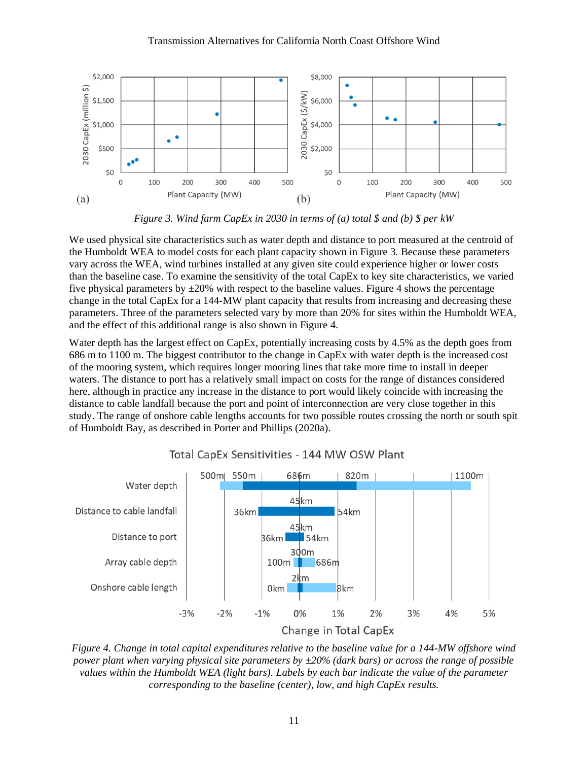#### Transmission Alternatives for California North Coast Offshore Wind



*Figure 3. Wind farm CapEx in 2030 in terms of (a) total \$ and (b) \$ per kW*

<span id="page-16-0"></span>We used physical site characteristics such as water depth and distance to port measured at the centroid of the Humboldt WEA to model costs for each plant capacity shown in [Figure 3](#page-16-0)*.* Because these parameters vary across the WEA, wind turbines installed at any given site could experience higher or lower costs than the baseline case. To examine the sensitivity of the total CapEx to key site characteristics, we varied five physical parameters by  $\pm 20\%$  with respect to the baseline values. [Figure 4](#page-16-1) shows the percentage change in the total CapEx for a 144-MW plant capacity that results from increasing and decreasing these parameters. Three of the parameters selected vary by more than 20% for sites within the Humboldt WEA, and the effect of this additional range is also shown in [Figure 4.](#page-16-1)

Water depth has the largest effect on CapEx, potentially increasing costs by 4.5% as the depth goes from 686 m to 1100 m. The biggest contributor to the change in CapEx with water depth is the increased cost of the mooring system, which requires longer mooring lines that take more time to install in deeper waters. The distance to port has a relatively small impact on costs for the range of distances considered here, although in practice any increase in the distance to port would likely coincide with increasing the distance to cable landfall because the port and point of interconnection are very close together in this study. The range of onshore cable lengths accounts for two possible routes crossing the north or south spit of Humboldt Bay, as described in Porter and Phillips (2020a).



#### Total CapEx Sensitivities - 144 MW OSW Plant

<span id="page-16-1"></span>*Figure 4. Change in total capital expenditures relative to the baseline value for a 144-MW offshore wind power plant when varying physical site parameters by ±20% (dark bars) or across the range of possible values within the Humboldt WEA (light bars). Labels by each bar indicate the value of the parameter corresponding to the baseline (center), low, and high CapEx results.*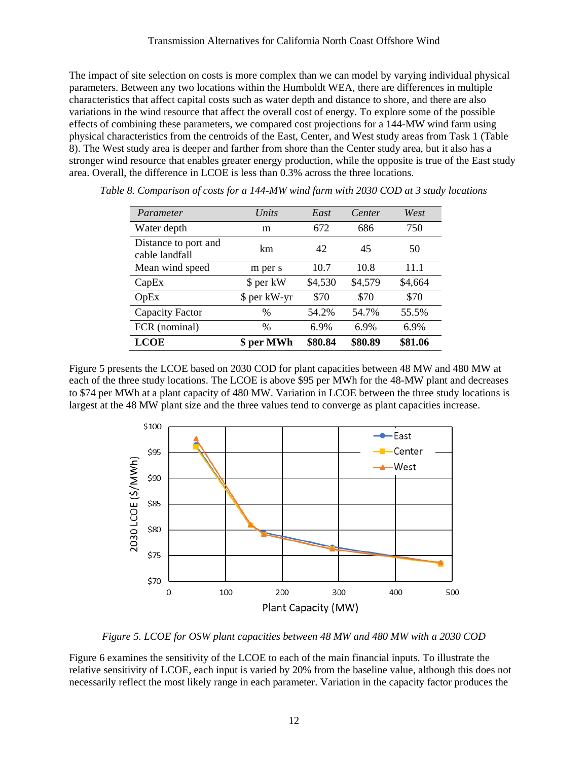The impact of site selection on costs is more complex than we can model by varying individual physical parameters. Between any two locations within the Humboldt WEA, there are differences in multiple characteristics that affect capital costs such as water depth and distance to shore, and there are also variations in the wind resource that affect the overall cost of energy. To explore some of the possible effects of combining these parameters, we compared cost projections for a 144-MW wind farm using physical characteristics from the centroids of the East, Center, and West study areas from Task 1 [\(Table](#page-17-0)  [8\)](#page-17-0). The West study area is deeper and farther from shore than the Center study area, but it also has a stronger wind resource that enables greater energy production, while the opposite is true of the East study area. Overall, the difference in LCOE is less than 0.3% across the three locations.

| Parameter                              | Units         | East    | Center  | West    |
|----------------------------------------|---------------|---------|---------|---------|
| Water depth                            | m             | 672     | 686     | 750     |
| Distance to port and<br>cable landfall | km            | 42      | 45      | 50      |
| Mean wind speed                        | m per s       | 10.7    | 10.8    | 11.1    |
| CapEx                                  | \$ per kW     | \$4,530 | \$4,579 | \$4,664 |
| OpEx                                   | \$ per kW-yr  | \$70    | \$70    | \$70    |
| Capacity Factor                        | $\frac{0}{0}$ | 54.2%   | 54.7%   | 55.5%   |
| FCR (nominal)                          | $\frac{0}{0}$ | 6.9%    | 6.9%    | 6.9%    |
| <b>LCOE</b>                            | \$ per MWh    | \$80.84 | \$80.89 | \$81.06 |

<span id="page-17-0"></span>*Table 8. Comparison of costs for a 144-MW wind farm with 2030 COD at 3 study locations*

[Figure 5](#page-17-1) presents the LCOE based on 2030 COD for plant capacities between 48 MW and 480 MW at each of the three study locations. The LCOE is above \$95 per MWh for the 48-MW plant and decreases to \$74 per MWh at a plant capacity of 480 MW. Variation in LCOE between the three study locations is largest at the 48 MW plant size and the three values tend to converge as plant capacities increase.



*Figure 5. LCOE for OSW plant capacities between 48 MW and 480 MW with a 2030 COD*

<span id="page-17-1"></span>[Figure 6](#page-18-3) examines the sensitivity of the LCOE to each of the main financial inputs. To illustrate the relative sensitivity of LCOE, each input is varied by 20% from the baseline value, although this does not necessarily reflect the most likely range in each parameter. Variation in the capacity factor produces the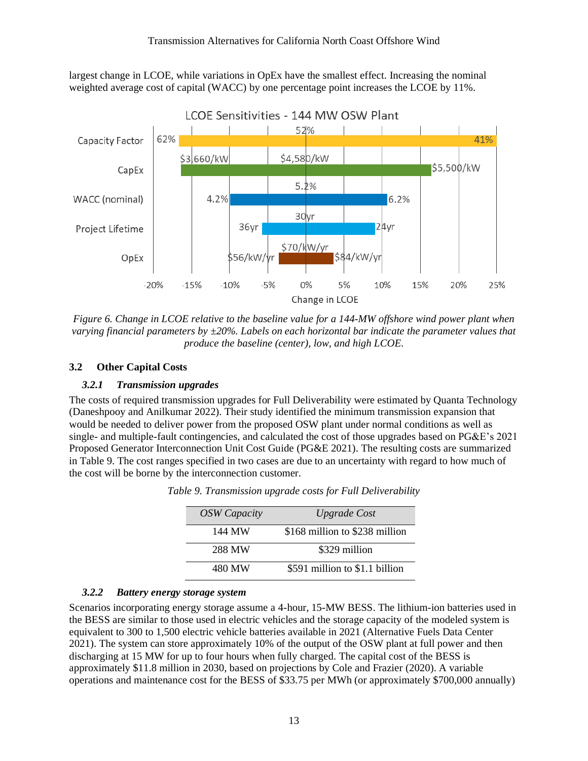largest change in LCOE, while variations in OpEx have the smallest effect. Increasing the nominal weighted average cost of capital (WACC) by one percentage point increases the LCOE by 11%.



<span id="page-18-3"></span>*Figure 6. Change in LCOE relative to the baseline value for a 144-MW offshore wind power plant when varying financial parameters by ±20%. Labels on each horizontal bar indicate the parameter values that produce the baseline (center), low, and high LCOE.*

### <span id="page-18-1"></span><span id="page-18-0"></span>**3.2 Other Capital Costs**

## *3.2.1 Transmission upgrades*

<span id="page-18-4"></span>The costs of required transmission upgrades for Full Deliverability were estimated by Quanta Technology (Daneshpooy and Anilkumar 2022). Their study identified the minimum transmission expansion that would be needed to deliver power from the proposed OSW plant under normal conditions as well as single- and multiple-fault contingencies, and calculated the cost of those upgrades based on PG&E's 2021 Proposed Generator Interconnection Unit Cost Guide (PG&E 2021). The resulting costs are summarized in [Table 9.](#page-18-4) The cost ranges specified in two cases are due to an uncertainty with regard to how much of the cost will be borne by the interconnection customer.

| <b>OSW</b> Capacity | <b>Upgrade Cost</b>            |
|---------------------|--------------------------------|
| 144 MW              | \$168 million to \$238 million |
| 288 MW              | \$329 million                  |
| 480 MW              | \$591 million to \$1.1 billion |

#### <span id="page-18-2"></span>*3.2.2 Battery energy storage system*

Scenarios incorporating energy storage assume a 4-hour, 15-MW BESS. The lithium-ion batteries used in the BESS are similar to those used in electric vehicles and the storage capacity of the modeled system is equivalent to 300 to 1,500 electric vehicle batteries available in 2021 (Alternative Fuels Data Center 2021). The system can store approximately 10% of the output of the OSW plant at full power and then discharging at 15 MW for up to four hours when fully charged. The capital cost of the BESS is approximately \$11.8 million in 2030, based on projections by Cole and Frazier (2020). A variable operations and maintenance cost for the BESS of \$33.75 per MWh (or approximately \$700,000 annually)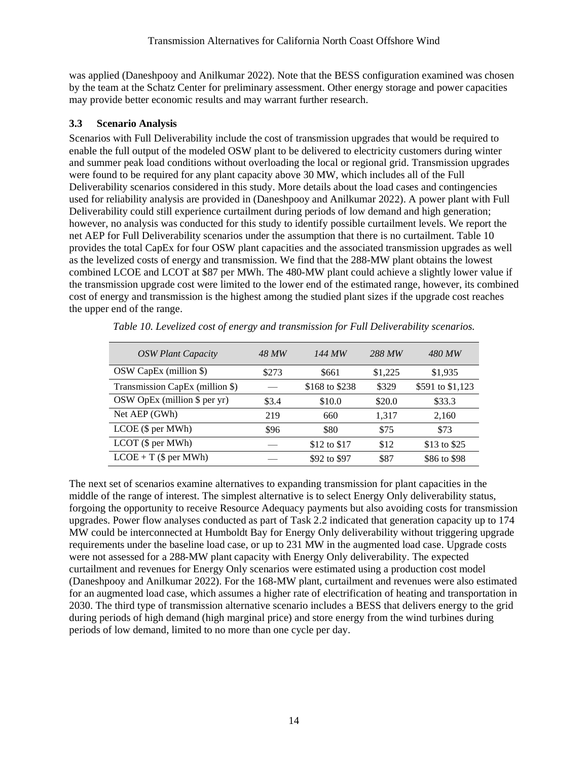was applied (Daneshpooy and Anilkumar 2022). Note that the BESS configuration examined was chosen by the team at the Schatz Center for preliminary assessment. Other energy storage and power capacities may provide better economic results and may warrant further research.

## <span id="page-19-0"></span>**3.3 Scenario Analysis**

Scenarios with Full Deliverability include the cost of transmission upgrades that would be required to enable the full output of the modeled OSW plant to be delivered to electricity customers during winter and summer peak load conditions without overloading the local or regional grid. Transmission upgrades were found to be required for any plant capacity above 30 MW, which includes all of the Full Deliverability scenarios considered in this study. More details about the load cases and contingencies used for reliability analysis are provided in (Daneshpooy and Anilkumar 2022). A power plant with Full Deliverability could still experience curtailment during periods of low demand and high generation; however, no analysis was conducted for this study to identify possible curtailment levels. We report the net AEP for Full Deliverability scenarios under the assumption that there is no curtailment. [Table 10](#page-19-1) provides the total CapEx for four OSW plant capacities and the associated transmission upgrades as well as the levelized costs of energy and transmission. We find that the 288-MW plant obtains the lowest combined LCOE and LCOT at \$87 per MWh. The 480-MW plant could achieve a slightly lower value if the transmission upgrade cost were limited to the lower end of the estimated range, however, its combined cost of energy and transmission is the highest among the studied plant sizes if the upgrade cost reaches the upper end of the range.

<span id="page-19-1"></span>

| <b>OSW Plant Capacity</b>       | 48 MW | 144 MW         | 288 MW  | 480 MW           |
|---------------------------------|-------|----------------|---------|------------------|
| OSW CapEx (million \$)          | \$273 | \$661          | \$1,225 | \$1,935          |
| Transmission CapEx (million \$) |       | \$168 to \$238 | \$329   | \$591 to \$1,123 |
| OSW OpEx (million $\$ per yr)   | \$3.4 | \$10.0         | \$20.0  | \$33.3           |
| Net AEP (GWh)                   | 219   | 660            | 1,317   | 2,160            |
| LCOE (\$ per MWh)               | \$96  | \$80           | \$75    | \$73             |
| $LCOT$ (\$ per MWh)             |       | \$12 to \$17   | \$12    | \$13 to \$25     |
| $LCOE + T$ (\$ per MWh)         |       | \$92 to \$97   | \$87    | \$86 to \$98     |

*Table 10. Levelized cost of energy and transmission for Full Deliverability scenarios.*

The next set of scenarios examine alternatives to expanding transmission for plant capacities in the middle of the range of interest. The simplest alternative is to select Energy Only deliverability status, forgoing the opportunity to receive Resource Adequacy payments but also avoiding costs for transmission upgrades. Power flow analyses conducted as part of Task 2.2 indicated that generation capacity up to 174 MW could be interconnected at Humboldt Bay for Energy Only deliverability without triggering upgrade requirements under the baseline load case, or up to 231 MW in the augmented load case. Upgrade costs were not assessed for a 288-MW plant capacity with Energy Only deliverability. The expected curtailment and revenues for Energy Only scenarios were estimated using a production cost model (Daneshpooy and Anilkumar 2022). For the 168-MW plant, curtailment and revenues were also estimated for an augmented load case, which assumes a higher rate of electrification of heating and transportation in 2030. The third type of transmission alternative scenario includes a BESS that delivers energy to the grid during periods of high demand (high marginal price) and store energy from the wind turbines during periods of low demand, limited to no more than one cycle per day.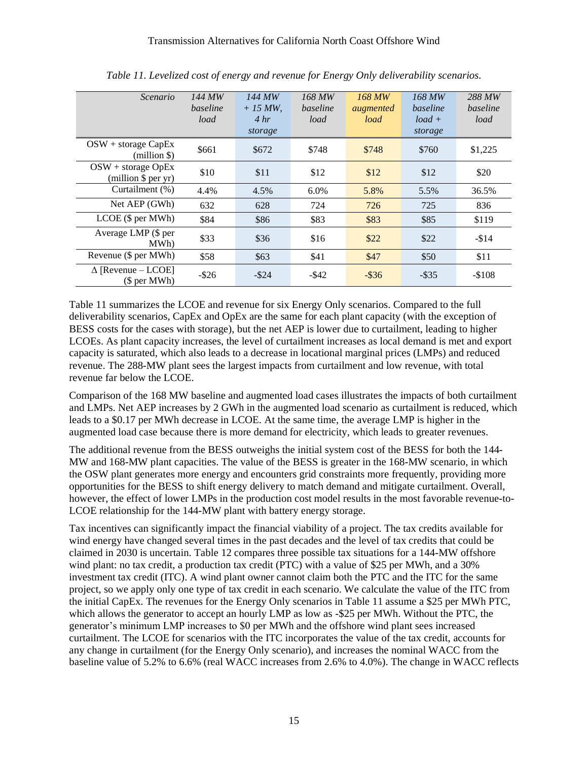<span id="page-20-0"></span>

| Scenario                                      | 144 MW<br>baseline<br>load | 144 MW<br>$+15 MW$<br>4 hr<br>storage | 168 MW<br>baseline<br>load | 168 MW<br>augmented<br>load | 168 MW<br>baseline<br>$load +$<br>storage | 288 MW<br>baseline<br>load |
|-----------------------------------------------|----------------------------|---------------------------------------|----------------------------|-----------------------------|-------------------------------------------|----------------------------|
| $OSW + storage CapEx$<br>$(million \$         | \$661                      | \$672                                 | \$748                      | \$748                       | \$760                                     | \$1,225                    |
| $OSW + storage OpEx$<br>$(million$ \$ per yr) | \$10                       | \$11                                  | \$12                       | \$12                        | \$12                                      | \$20                       |
| Curtailment (%)                               | 4.4%                       | 4.5%                                  | $6.0\%$                    | 5.8%                        | 5.5%                                      | 36.5%                      |
| Net AEP (GWh)                                 | 632                        | 628                                   | 724                        | 726                         | 725                                       | 836                        |
| LCOE (\$ per MWh)                             | \$84                       | \$86                                  | \$83                       | \$83                        | \$85                                      | \$119                      |
| Average LMP (\$ per<br>MWh)                   | \$33                       | \$36                                  | \$16                       | \$22                        | \$22                                      | $-$14$                     |
| Revenue (\$ per MWh)                          | \$58                       | \$63                                  | \$41                       | \$47                        | \$50                                      | \$11                       |
| $\Delta$ [Revenue – LCOE]<br>(\$ per MWh)     | $-$ \$26                   | $-$ \$24                              | $-$ \$42                   | $-$ \$36                    | $-$ \$35                                  | $-$108$                    |

*Table 11. Levelized cost of energy and revenue for Energy Only deliverability scenarios.*

[Table 11](#page-20-0) summarizes the LCOE and revenue for six Energy Only scenarios. Compared to the full deliverability scenarios, CapEx and OpEx are the same for each plant capacity (with the exception of BESS costs for the cases with storage), but the net AEP is lower due to curtailment, leading to higher LCOEs. As plant capacity increases, the level of curtailment increases as local demand is met and export capacity is saturated, which also leads to a decrease in locational marginal prices (LMPs) and reduced revenue. The 288-MW plant sees the largest impacts from curtailment and low revenue, with total revenue far below the LCOE.

Comparison of the 168 MW baseline and augmented load cases illustrates the impacts of both curtailment and LMPs. Net AEP increases by 2 GWh in the augmented load scenario as curtailment is reduced, which leads to a \$0.17 per MWh decrease in LCOE. At the same time, the average LMP is higher in the augmented load case because there is more demand for electricity, which leads to greater revenues.

The additional revenue from the BESS outweighs the initial system cost of the BESS for both the 144- MW and 168-MW plant capacities. The value of the BESS is greater in the 168-MW scenario, in which the OSW plant generates more energy and encounters grid constraints more frequently, providing more opportunities for the BESS to shift energy delivery to match demand and mitigate curtailment. Overall, however, the effect of lower LMPs in the production cost model results in the most favorable revenue-to-LCOE relationship for the 144-MW plant with battery energy storage.

Tax incentives can significantly impact the financial viability of a project. The tax credits available for wind energy have changed several times in the past decades and the level of tax credits that could be claimed in 2030 is uncertain. [Table 12](#page-21-0) compares three possible tax situations for a 144-MW offshore wind plant: no tax credit, a production tax credit (PTC) with a value of \$25 per MWh, and a 30% investment tax credit (ITC). A wind plant owner cannot claim both the PTC and the ITC for the same project, so we apply only one type of tax credit in each scenario. We calculate the value of the ITC from the initial CapEx. The revenues for the Energy Only scenarios in [Table 11](#page-20-0) assume a \$25 per MWh PTC, which allows the generator to accept an hourly LMP as low as -\$25 per MWh. Without the PTC, the generator's minimum LMP increases to \$0 per MWh and the offshore wind plant sees increased curtailment. The LCOE for scenarios with the ITC incorporates the value of the tax credit, accounts for any change in curtailment (for the Energy Only scenario), and increases the nominal WACC from the baseline value of 5.2% to 6.6% (real WACC increases from 2.6% to 4.0%). The change in WACC reflects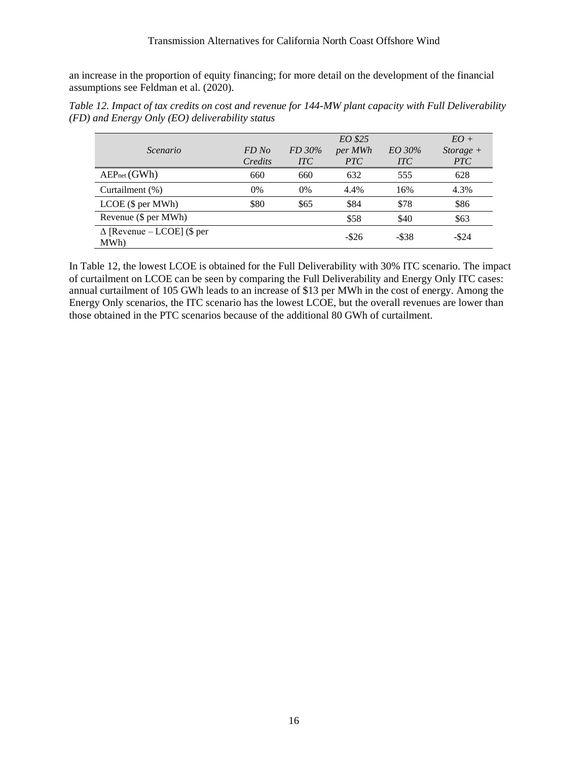an increase in the proportion of equity financing; for more detail on the development of the financial assumptions see Feldman et al. (2020).

<span id="page-21-0"></span>

|                                                   | Table 12. Impact of tax credits on cost and revenue for 144-MW plant capacity with Full Deliverability |
|---------------------------------------------------|--------------------------------------------------------------------------------------------------------|
| $(FD)$ and Energy Only (EO) deliverability status |                                                                                                        |

|                                           |         |            | EO \$25  |            | $EO+$       |
|-------------------------------------------|---------|------------|----------|------------|-------------|
| Scenario                                  | FD No   | FD 30%     | per MWh  | EO 30%     | $Storage +$ |
|                                           | Credits | <b>ITC</b> | PTC      | <b>ITC</b> | <b>PTC</b>  |
| AEP <sub>net</sub> (GWh)                  | 660     | 660        | 632      | 555        | 628         |
| Curtailment (%)                           | 0%      | 0%         | 4.4%     | 16%        | 4.3%        |
| LCOE (\$ per MWh)                         | \$80    | \$65       | \$84     | \$78       | \$86        |
| Revenue (\$ per MWh)                      |         |            | \$58     | \$40       | \$63        |
| $\Delta$ [Revenue – LCOE] (\$ per<br>MWh) |         |            | $-$ \$26 | $-$ \$38   | $-$ \$24    |

In [Table 12,](#page-21-0) the lowest LCOE is obtained for the Full Deliverability with 30% ITC scenario. The impact of curtailment on LCOE can be seen by comparing the Full Deliverability and Energy Only ITC cases: annual curtailment of 105 GWh leads to an increase of \$13 per MWh in the cost of energy. Among the Energy Only scenarios, the ITC scenario has the lowest LCOE, but the overall revenues are lower than those obtained in the PTC scenarios because of the additional 80 GWh of curtailment.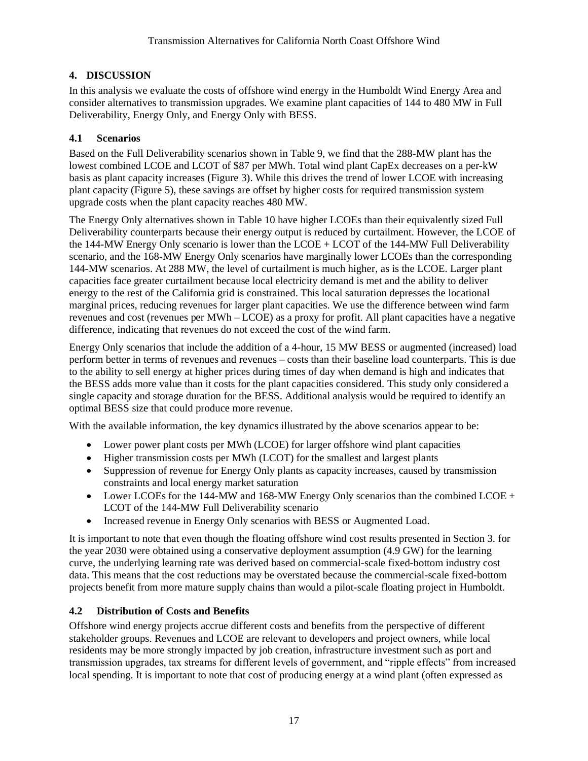# <span id="page-22-0"></span>**4. DISCUSSION**

In this analysis we evaluate the costs of offshore wind energy in the Humboldt Wind Energy Area and consider alternatives to transmission upgrades. We examine plant capacities of 144 to 480 MW in Full Deliverability, Energy Only, and Energy Only with BESS.

# <span id="page-22-1"></span>**4.1 Scenarios**

Based on the Full Deliverability scenarios shown in [Table 9,](#page-18-4) we find that the 288-MW plant has the lowest combined LCOE and LCOT of \$87 per MWh. Total wind plant CapEx decreases on a per-kW basis as plant capacity increases [\(Figure 3\)](#page-16-0). While this drives the trend of lower LCOE with increasing plant capacity [\(Figure 5\)](#page-17-1), these savings are offset by higher costs for required transmission system upgrade costs when the plant capacity reaches 480 MW.

The Energy Only alternatives shown in [Table 10](#page-19-1) have higher LCOEs than their equivalently sized Full Deliverability counterparts because their energy output is reduced by curtailment. However, the LCOE of the 144-MW Energy Only scenario is lower than the LCOE + LCOT of the 144-MW Full Deliverability scenario, and the 168-MW Energy Only scenarios have marginally lower LCOEs than the corresponding 144-MW scenarios. At 288 MW, the level of curtailment is much higher, as is the LCOE. Larger plant capacities face greater curtailment because local electricity demand is met and the ability to deliver energy to the rest of the California grid is constrained. This local saturation depresses the locational marginal prices, reducing revenues for larger plant capacities. We use the difference between wind farm revenues and cost (revenues per MWh – LCOE) as a proxy for profit. All plant capacities have a negative difference, indicating that revenues do not exceed the cost of the wind farm.

Energy Only scenarios that include the addition of a 4-hour, 15 MW BESS or augmented (increased) load perform better in terms of revenues and revenues – costs than their baseline load counterparts. This is due to the ability to sell energy at higher prices during times of day when demand is high and indicates that the BESS adds more value than it costs for the plant capacities considered. This study only considered a single capacity and storage duration for the BESS. Additional analysis would be required to identify an optimal BESS size that could produce more revenue.

With the available information, the key dynamics illustrated by the above scenarios appear to be:

- Lower power plant costs per MWh (LCOE) for larger offshore wind plant capacities
- Higher transmission costs per MWh (LCOT) for the smallest and largest plants
- Suppression of revenue for Energy Only plants as capacity increases, caused by transmission constraints and local energy market saturation
- Lower LCOEs for the 144-MW and 168-MW Energy Only scenarios than the combined LCOE + LCOT of the 144-MW Full Deliverability scenario
- Increased revenue in Energy Only scenarios with BESS or Augmented Load.

It is important to note that even though the floating offshore wind cost results presented in Section [3. f](#page-15-0)or the year 2030 were obtained using a conservative deployment assumption (4.9 GW) for the learning curve, the underlying learning rate was derived based on commercial-scale fixed-bottom industry cost data. This means that the cost reductions may be overstated because the commercial-scale fixed-bottom projects benefit from more mature supply chains than would a pilot-scale floating project in Humboldt.

# <span id="page-22-2"></span>**4.2 Distribution of Costs and Benefits**

Offshore wind energy projects accrue different costs and benefits from the perspective of different stakeholder groups. Revenues and LCOE are relevant to developers and project owners, while local residents may be more strongly impacted by job creation, infrastructure investment such as port and transmission upgrades, tax streams for different levels of government, and "ripple effects" from increased local spending. It is important to note that cost of producing energy at a wind plant (often expressed as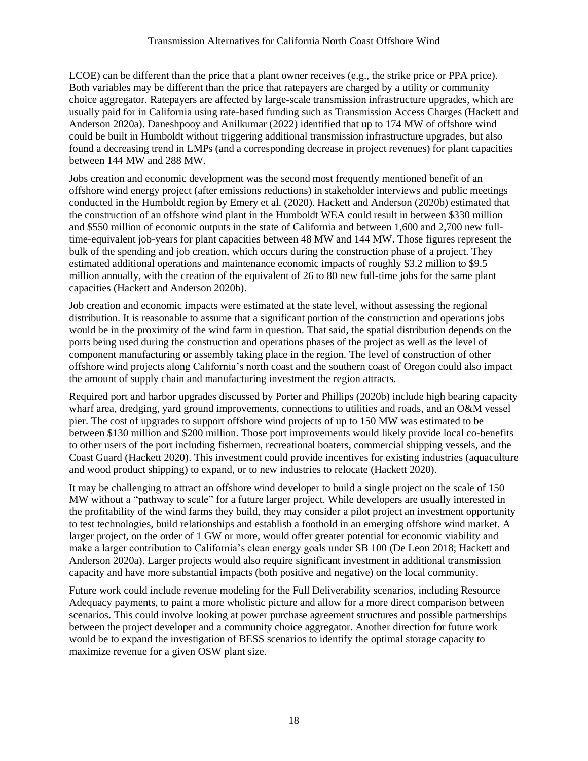LCOE) can be different than the price that a plant owner receives (e.g., the strike price or PPA price). Both variables may be different than the price that ratepayers are charged by a utility or community choice aggregator. Ratepayers are affected by large-scale transmission infrastructure upgrades, which are usually paid for in California using rate-based funding such as Transmission Access Charges (Hackett and Anderson 2020a). Daneshpooy and Anilkumar (2022) identified that up to 174 MW of offshore wind could be built in Humboldt without triggering additional transmission infrastructure upgrades, but also found a decreasing trend in LMPs (and a corresponding decrease in project revenues) for plant capacities between 144 MW and 288 MW.

Jobs creation and economic development was the second most frequently mentioned benefit of an offshore wind energy project (after emissions reductions) in stakeholder interviews and public meetings conducted in the Humboldt region by Emery et al. (2020). Hackett and Anderson (2020b) estimated that the construction of an offshore wind plant in the Humboldt WEA could result in between \$330 million and \$550 million of economic outputs in the state of California and between 1,600 and 2,700 new fulltime-equivalent job-years for plant capacities between 48 MW and 144 MW. Those figures represent the bulk of the spending and job creation, which occurs during the construction phase of a project. They estimated additional operations and maintenance economic impacts of roughly \$3.2 million to \$9.5 million annually, with the creation of the equivalent of 26 to 80 new full-time jobs for the same plant capacities (Hackett and Anderson 2020b).

Job creation and economic impacts were estimated at the state level, without assessing the regional distribution. It is reasonable to assume that a significant portion of the construction and operations jobs would be in the proximity of the wind farm in question. That said, the spatial distribution depends on the ports being used during the construction and operations phases of the project as well as the level of component manufacturing or assembly taking place in the region. The level of construction of other offshore wind projects along California's north coast and the southern coast of Oregon could also impact the amount of supply chain and manufacturing investment the region attracts.

Required port and harbor upgrades discussed by Porter and Phillips (2020b) include high bearing capacity wharf area, dredging, yard ground improvements, connections to utilities and roads, and an O&M vessel pier. The cost of upgrades to support offshore wind projects of up to 150 MW was estimated to be between \$130 million and \$200 million. Those port improvements would likely provide local co-benefits to other users of the port including fishermen, recreational boaters, commercial shipping vessels, and the Coast Guard (Hackett 2020). This investment could provide incentives for existing industries (aquaculture and wood product shipping) to expand, or to new industries to relocate (Hackett 2020).

It may be challenging to attract an offshore wind developer to build a single project on the scale of 150 MW without a "pathway to scale" for a future larger project. While developers are usually interested in the profitability of the wind farms they build, they may consider a pilot project an investment opportunity to test technologies, build relationships and establish a foothold in an emerging offshore wind market. A larger project, on the order of 1 GW or more, would offer greater potential for economic viability and make a larger contribution to California's clean energy goals under SB 100 (De Leon 2018; Hackett and Anderson 2020a). Larger projects would also require significant investment in additional transmission capacity and have more substantial impacts (both positive and negative) on the local community.

Future work could include revenue modeling for the Full Deliverability scenarios, including Resource Adequacy payments, to paint a more wholistic picture and allow for a more direct comparison between scenarios. This could involve looking at power purchase agreement structures and possible partnerships between the project developer and a community choice aggregator. Another direction for future work would be to expand the investigation of BESS scenarios to identify the optimal storage capacity to maximize revenue for a given OSW plant size.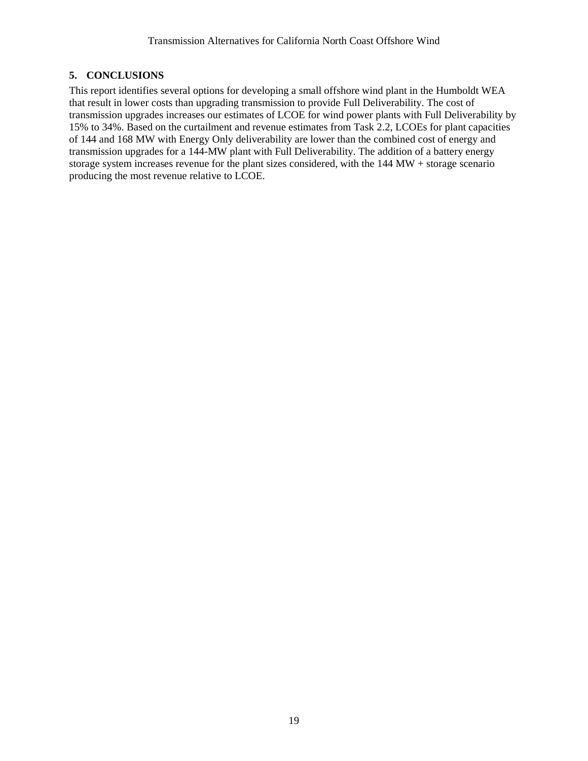# <span id="page-24-0"></span>**5. CONCLUSIONS**

This report identifies several options for developing a small offshore wind plant in the Humboldt WEA that result in lower costs than upgrading transmission to provide Full Deliverability. The cost of transmission upgrades increases our estimates of LCOE for wind power plants with Full Deliverability by 15% to 34%. Based on the curtailment and revenue estimates from Task 2.2, LCOEs for plant capacities of 144 and 168 MW with Energy Only deliverability are lower than the combined cost of energy and transmission upgrades for a 144-MW plant with Full Deliverability. The addition of a battery energy storage system increases revenue for the plant sizes considered, with the 144 MW + storage scenario producing the most revenue relative to LCOE.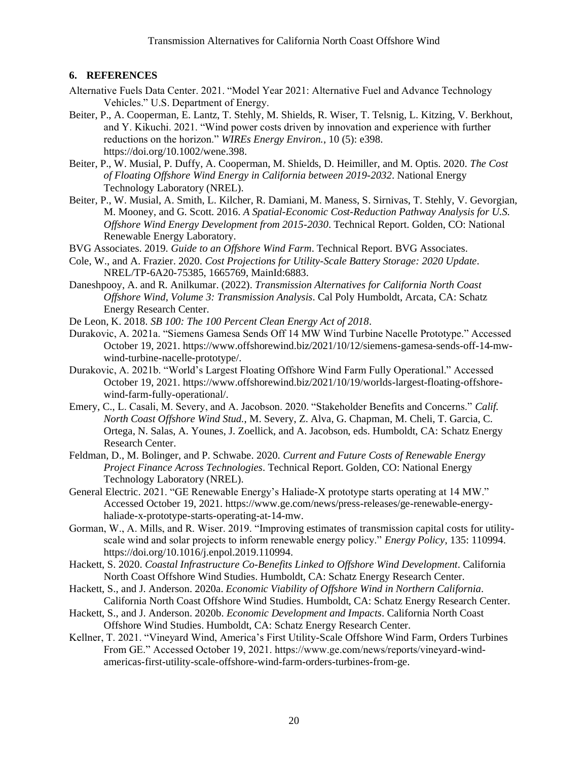## <span id="page-25-0"></span>**6. REFERENCES**

- Alternative Fuels Data Center. 2021. "Model Year 2021: Alternative Fuel and Advance Technology Vehicles." U.S. Department of Energy.
- Beiter, P., A. Cooperman, E. Lantz, T. Stehly, M. Shields, R. Wiser, T. Telsnig, L. Kitzing, V. Berkhout, and Y. Kikuchi. 2021. "Wind power costs driven by innovation and experience with further reductions on the horizon." *WIREs Energy Environ.*, 10 (5): e398. https://doi.org/10.1002/wene.398.
- Beiter, P., W. Musial, P. Duffy, A. Cooperman, M. Shields, D. Heimiller, and M. Optis. 2020. *The Cost of Floating Offshore Wind Energy in California between 2019-2032*. National Energy Technology Laboratory (NREL).
- Beiter, P., W. Musial, A. Smith, L. Kilcher, R. Damiani, M. Maness, S. Sirnivas, T. Stehly, V. Gevorgian, M. Mooney, and G. Scott. 2016. *A Spatial-Economic Cost-Reduction Pathway Analysis for U.S. Offshore Wind Energy Development from 2015-2030*. Technical Report. Golden, CO: National Renewable Energy Laboratory.
- BVG Associates. 2019. *Guide to an Offshore Wind Farm*. Technical Report. BVG Associates.
- Cole, W., and A. Frazier. 2020. *Cost Projections for Utility-Scale Battery Storage: 2020 Update*. NREL/TP-6A20-75385, 1665769, MainId:6883.
- Daneshpooy, A. and R. Anilkumar. (2022). *Transmission Alternatives for California North Coast Offshore Wind, Volume 3: Transmission Analysis*. Cal Poly Humboldt, Arcata, CA: Schatz Energy Research Center.
- De Leon, K. 2018. *SB 100: The 100 Percent Clean Energy Act of 2018*.
- Durakovic, A. 2021a. "Siemens Gamesa Sends Off 14 MW Wind Turbine Nacelle Prototype." Accessed October 19, 2021. https://www.offshorewind.biz/2021/10/12/siemens-gamesa-sends-off-14-mwwind-turbine-nacelle-prototype/.
- Durakovic, A. 2021b. "World's Largest Floating Offshore Wind Farm Fully Operational." Accessed October 19, 2021. https://www.offshorewind.biz/2021/10/19/worlds-largest-floating-offshorewind-farm-fully-operational/.
- Emery, C., L. Casali, M. Severy, and A. Jacobson. 2020. "Stakeholder Benefits and Concerns." *Calif. North Coast Offshore Wind Stud.*, M. Severy, Z. Alva, G. Chapman, M. Cheli, T. Garcia, C. Ortega, N. Salas, A. Younes, J. Zoellick, and A. Jacobson, eds. Humboldt, CA: Schatz Energy Research Center.
- Feldman, D., M. Bolinger, and P. Schwabe. 2020. *Current and Future Costs of Renewable Energy Project Finance Across Technologies*. Technical Report. Golden, CO: National Energy Technology Laboratory (NREL).
- General Electric. 2021. "GE Renewable Energy's Haliade-X prototype starts operating at 14 MW." Accessed October 19, 2021. https://www.ge.com/news/press-releases/ge-renewable-energyhaliade-x-prototype-starts-operating-at-14-mw.
- Gorman, W., A. Mills, and R. Wiser. 2019. "Improving estimates of transmission capital costs for utilityscale wind and solar projects to inform renewable energy policy." *Energy Policy*, 135: 110994. https://doi.org/10.1016/j.enpol.2019.110994.
- Hackett, S. 2020. *Coastal Infrastructure Co-Benefits Linked to Offshore Wind Development*. California North Coast Offshore Wind Studies. Humboldt, CA: Schatz Energy Research Center.
- Hackett, S., and J. Anderson. 2020a. *Economic Viability of Offshore Wind in Northern California*. California North Coast Offshore Wind Studies. Humboldt, CA: Schatz Energy Research Center.
- Hackett, S., and J. Anderson. 2020b. *Economic Development and Impacts*. California North Coast Offshore Wind Studies. Humboldt, CA: Schatz Energy Research Center.
- Kellner, T. 2021. "Vineyard Wind, America's First Utility-Scale Offshore Wind Farm, Orders Turbines From GE." Accessed October 19, 2021. https://www.ge.com/news/reports/vineyard-windamericas-first-utility-scale-offshore-wind-farm-orders-turbines-from-ge.